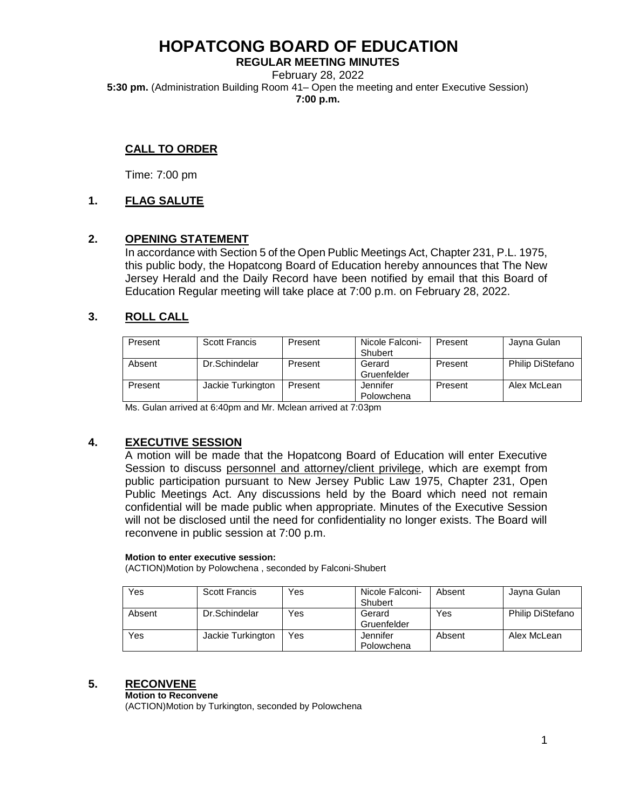**REGULAR MEETING MINUTES** February 28, 2022 **5:30 pm.** (Administration Building Room 41– Open the meeting and enter Executive Session) **7:00 p.m.**

# **CALL TO ORDER**

Time: 7:00 pm

# **1. FLAG SALUTE**

### **2. OPENING STATEMENT**

In accordance with Section 5 of the Open Public Meetings Act, Chapter 231, P.L. 1975, this public body, the Hopatcong Board of Education hereby announces that The New Jersey Herald and the Daily Record have been notified by email that this Board of Education Regular meeting will take place at 7:00 p.m. on February 28, 2022.

# **3. ROLL CALL**

| Present | Scott Francis     | Present | Nicole Falconi-<br>Shubert | Present | Jayna Gulan             |
|---------|-------------------|---------|----------------------------|---------|-------------------------|
| Absent  | Dr.Schindelar     | Present | Gerard<br>Gruenfelder      | Present | <b>Philip DiStefano</b> |
| Present | Jackie Turkington | Present | Jennifer<br>Polowchena     | Present | Alex McLean             |

Ms. Gulan arrived at 6:40pm and Mr. Mclean arrived at 7:03pm

# **4. EXECUTIVE SESSION**

A motion will be made that the Hopatcong Board of Education will enter Executive Session to discuss personnel and attorney/client privilege, which are exempt from public participation pursuant to New Jersey Public Law 1975, Chapter 231, Open Public Meetings Act. Any discussions held by the Board which need not remain confidential will be made public when appropriate. Minutes of the Executive Session will not be disclosed until the need for confidentiality no longer exists. The Board will reconvene in public session at 7:00 p.m.

#### **Motion to enter executive session:**

(ACTION)Motion by Polowchena , seconded by Falconi-Shubert

| Yes    | <b>Scott Francis</b> | Yes | Nicole Falconi-<br>Shubert | Absent | Jayna Gulan             |
|--------|----------------------|-----|----------------------------|--------|-------------------------|
| Absent | Dr.Schindelar        | Yes | Gerard<br>Gruenfelder      | Yes    | <b>Philip DiStefano</b> |
| Yes    | Jackie Turkington    | Yes | Jennifer<br>Polowchena     | Absent | Alex McLean             |

### **5. RECONVENE**

#### **Motion to Reconvene**

(ACTION)Motion by Turkington, seconded by Polowchena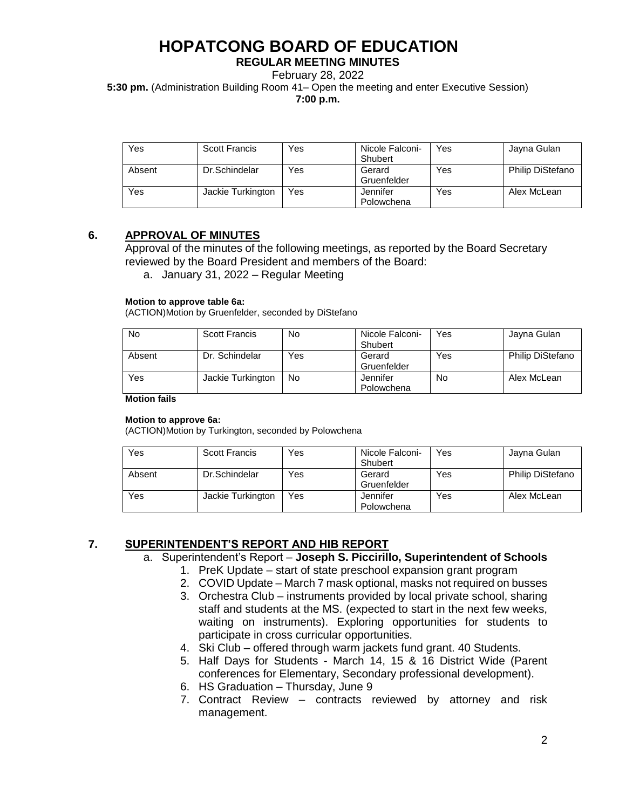### **REGULAR MEETING MINUTES**

February 28, 2022

**5:30 pm.** (Administration Building Room 41– Open the meeting and enter Executive Session)

**7:00 p.m.**

| Yes    | <b>Scott Francis</b> | Yes | Nicole Falconi-<br>Shubert | Yes | Jayna Gulan             |
|--------|----------------------|-----|----------------------------|-----|-------------------------|
| Absent | Dr.Schindelar        | Yes | Gerard<br>Gruenfelder      | Yes | <b>Philip DiStefano</b> |
| Yes    | Jackie Turkington    | Yes | Jennifer<br>Polowchena     | Yes | Alex McLean             |

# **6. APPROVAL OF MINUTES**

Approval of the minutes of the following meetings, as reported by the Board Secretary reviewed by the Board President and members of the Board:

a. January 31, 2022 – Regular Meeting

#### **Motion to approve table 6a:**

(ACTION)Motion by Gruenfelder, seconded by DiStefano

| No     | <b>Scott Francis</b> | No  | Nicole Falconi- | Yes | Jayna Gulan             |
|--------|----------------------|-----|-----------------|-----|-------------------------|
|        |                      |     | Shubert         |     |                         |
| Absent | Dr. Schindelar       | Yes | Gerard          | Yes | <b>Philip DiStefano</b> |
|        |                      |     | Gruenfelder     |     |                         |
| Yes    | Jackie Turkington    | No  | Jennifer        | No  | Alex McLean             |
|        |                      |     | Polowchena      |     |                         |

#### **Motion fails**

#### **Motion to approve 6a:**

(ACTION)Motion by Turkington, seconded by Polowchena

| Yes    | <b>Scott Francis</b> | Yes | Nicole Falconi-<br>Shubert | Yes | Jayna Gulan             |
|--------|----------------------|-----|----------------------------|-----|-------------------------|
| Absent | Dr.Schindelar        | Yes | Gerard<br>Gruenfelder      | Yes | <b>Philip DiStefano</b> |
| Yes    | Jackie Turkington    | Yes | Jennifer<br>Polowchena     | Yes | Alex McLean             |

# **7. SUPERINTENDENT'S REPORT AND HIB REPORT**

- a. Superintendent's Report **Joseph S. Piccirillo, Superintendent of Schools**
	- 1. PreK Update start of state preschool expansion grant program
	- 2. COVID Update March 7 mask optional, masks not required on busses
	- 3. Orchestra Club instruments provided by local private school, sharing staff and students at the MS. (expected to start in the next few weeks, waiting on instruments). Exploring opportunities for students to participate in cross curricular opportunities.
	- 4. Ski Club offered through warm jackets fund grant. 40 Students.
	- 5. Half Days for Students March 14, 15 & 16 District Wide (Parent conferences for Elementary, Secondary professional development).
	- 6. HS Graduation Thursday, June 9
	- 7. Contract Review contracts reviewed by attorney and risk management.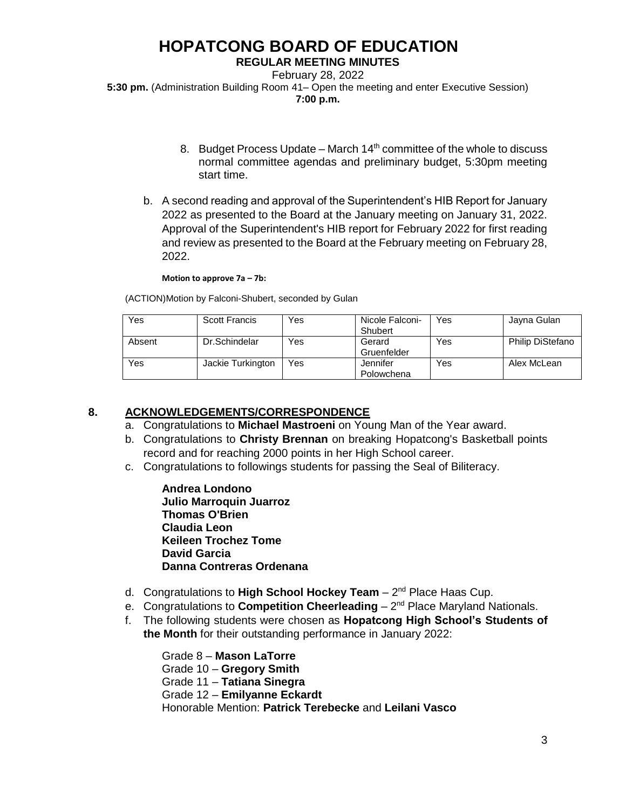### **REGULAR MEETING MINUTES**

February 28, 2022 **5:30 pm.** (Administration Building Room 41– Open the meeting and enter Executive Session) **7:00 p.m.**

- 8. Budget Process Update March  $14<sup>th</sup>$  committee of the whole to discuss normal committee agendas and preliminary budget, 5:30pm meeting start time.
- b. A second reading and approval of the Superintendent's HIB Report for January 2022 as presented to the Board at the January meeting on January 31, 2022. Approval of the Superintendent's HIB report for February 2022 for first reading and review as presented to the Board at the February meeting on February 28, 2022.

#### **Motion to approve 7a – 7b:**

(ACTION)Motion by Falconi-Shubert, seconded by Gulan

| Yes    | <b>Scott Francis</b> | Yes | Nicole Falconi-<br>Shubert | Yes | Jayna Gulan             |
|--------|----------------------|-----|----------------------------|-----|-------------------------|
| Absent | Dr.Schindelar        | Yes | Gerard<br>Gruenfelder      | Yes | <b>Philip DiStefano</b> |
| Yes    | Jackie Turkington    | Yes | Jennifer<br>Polowchena     | Yes | Alex McLean             |

# **8. ACKNOWLEDGEMENTS/CORRESPONDENCE**

- a. Congratulations to **Michael Mastroeni** on Young Man of the Year award.
- b. Congratulations to **Christy Brennan** on breaking Hopatcong's Basketball points record and for reaching 2000 points in her High School career.
- c. Congratulations to followings students for passing the Seal of Biliteracy.

**Andrea Londono Julio Marroquin Juarroz Thomas O'Brien Claudia Leon Keileen Trochez Tome David Garcia Danna Contreras Ordenana**

- d. Congratulations to High School Hockey Team 2<sup>nd</sup> Place Haas Cup.
- e. Congratulations to **Competition Cheerleading** 2<sup>nd</sup> Place Maryland Nationals.
- f. The following students were chosen as **Hopatcong High School's Students of the Month** for their outstanding performance in January 2022:

Grade 8 – **Mason LaTorre** Grade 10 – **Gregory Smith** Grade 11 – **Tatiana Sinegra** Grade 12 – **Emilyanne Eckardt** Honorable Mention: **Patrick Terebecke** and **Leilani Vasco**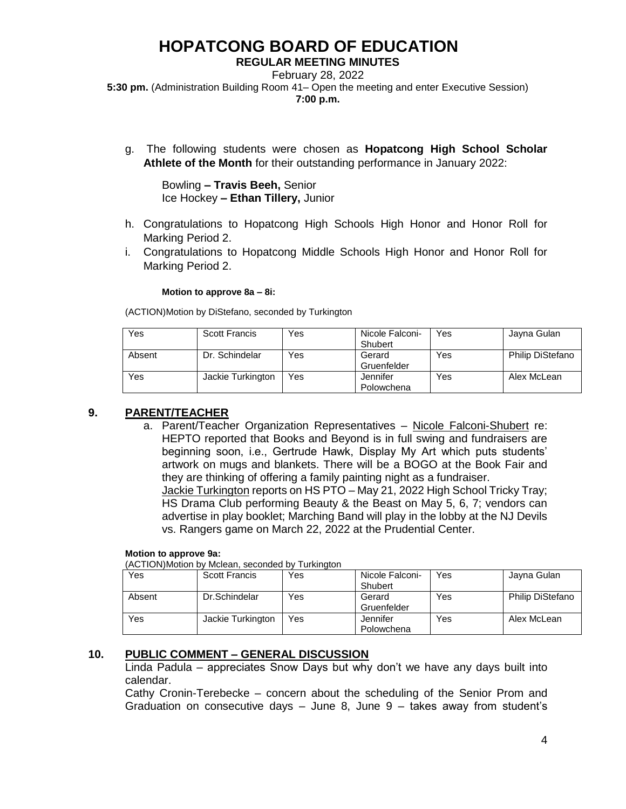### **REGULAR MEETING MINUTES**

February 28, 2022 **5:30 pm.** (Administration Building Room 41– Open the meeting and enter Executive Session) **7:00 p.m.**

g. The following students were chosen as **Hopatcong High School Scholar Athlete of the Month** for their outstanding performance in January 2022:

Bowling **– Travis Beeh,** Senior Ice Hockey **– Ethan Tillery,** Junior

- h. Congratulations to Hopatcong High Schools High Honor and Honor Roll for Marking Period 2.
- i. Congratulations to Hopatcong Middle Schools High Honor and Honor Roll for Marking Period 2.

#### **Motion to approve 8a – 8i:**

(ACTION)Motion by DiStefano, seconded by Turkington

| Yes    | <b>Scott Francis</b> | Yes | Nicole Falconi-<br>Shubert | Yes | Jayna Gulan             |
|--------|----------------------|-----|----------------------------|-----|-------------------------|
| Absent | Dr. Schindelar       | Yes | Gerard<br>Gruenfelder      | Yes | <b>Philip DiStefano</b> |
| Yes    | Jackie Turkington    | Yes | Jennifer<br>Polowchena     | Yes | Alex McLean             |

# **9. PARENT/TEACHER**

a. Parent/Teacher Organization Representatives – Nicole Falconi-Shubert re: HEPTO reported that Books and Beyond is in full swing and fundraisers are beginning soon, i.e., Gertrude Hawk, Display My Art which puts students' artwork on mugs and blankets. There will be a BOGO at the Book Fair and they are thinking of offering a family painting night as a fundraiser. Jackie Turkington reports on HS PTO – May 21, 2022 High School Tricky Tray; HS Drama Club performing Beauty & the Beast on May 5, 6, 7; vendors can advertise in play booklet; Marching Band will play in the lobby at the NJ Devils vs. Rangers game on March 22, 2022 at the Prudential Center.

#### **Motion to approve 9a:**

(ACTION)Motion by Mclean, seconded by Turkington

| .      |                      |     |                 |     |                         |
|--------|----------------------|-----|-----------------|-----|-------------------------|
| Yes    | <b>Scott Francis</b> | Yes | Nicole Falconi- | Yes | Jayna Gulan             |
|        |                      |     | Shubert         |     |                         |
| Absent | Dr.Schindelar        | Yes | Gerard          | Yes | <b>Philip DiStefano</b> |
|        |                      |     | Gruenfelder     |     |                         |
| Yes    | Jackie Turkington    | Yes | Jennifer        | Yes | Alex McLean             |
|        |                      |     | Polowchena      |     |                         |

# **10. PUBLIC COMMENT – GENERAL DISCUSSION**

Linda Padula – appreciates Snow Days but why don't we have any days built into calendar.

Cathy Cronin-Terebecke – concern about the scheduling of the Senior Prom and Graduation on consecutive days – June 8, June 9 – takes away from student's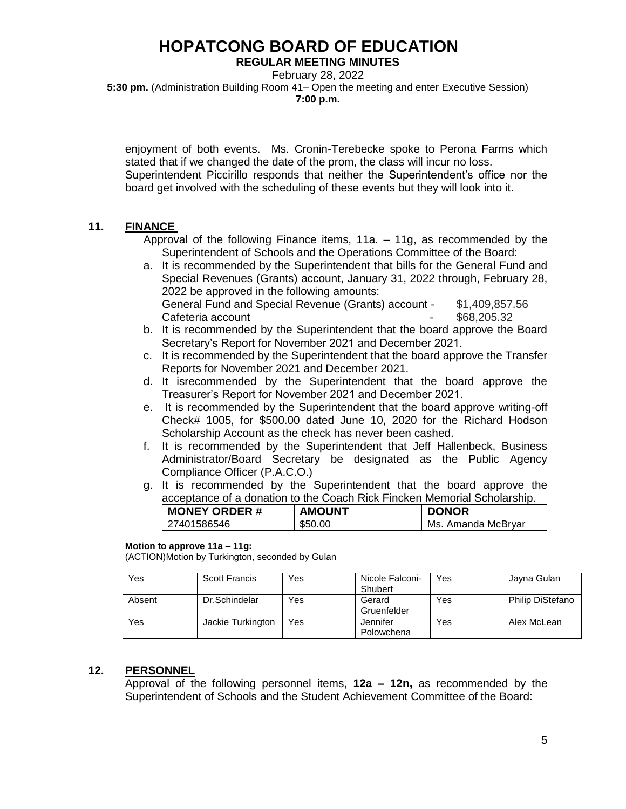### **REGULAR MEETING MINUTES**

February 28, 2022 **5:30 pm.** (Administration Building Room 41– Open the meeting and enter Executive Session) **7:00 p.m.**

enjoyment of both events. Ms. Cronin-Terebecke spoke to Perona Farms which stated that if we changed the date of the prom, the class will incur no loss. Superintendent Piccirillo responds that neither the Superintendent's office nor the board get involved with the scheduling of these events but they will look into it.

# **11. FINANCE**

Approval of the following Finance items, 11a. – 11g, as recommended by the Superintendent of Schools and the Operations Committee of the Board:

- a. It is recommended by the Superintendent that bills for the General Fund and Special Revenues (Grants) account, January 31, 2022 through, February 28, 2022 be approved in the following amounts: General Fund and Special Revenue (Grants) account - \$1,409,857.56 Cafeteria account Cafeteria account
- b. It is recommended by the Superintendent that the board approve the Board Secretary's Report for November 2021 and December 2021.
- c. It is recommended by the Superintendent that the board approve the Transfer Reports for November 2021 and December 2021.
- d. It isrecommended by the Superintendent that the board approve the Treasurer's Report for November 2021 and December 2021.
- e. It is recommended by the Superintendent that the board approve writing-off Check# 1005, for \$500.00 dated June 10, 2020 for the Richard Hodson Scholarship Account as the check has never been cashed.
- f. It is recommended by the Superintendent that Jeff Hallenbeck, Business Administrator/Board Secretary be designated as the Public Agency Compliance Officer (P.A.C.O.)
- g. It is recommended by the Superintendent that the board approve the acceptance of a donation to the Coach Rick Fincken Memorial Scholarship.

| <b>MONEY ORDER#</b> | <b>AMOUNT</b> | <b>DONOR</b>       |
|---------------------|---------------|--------------------|
| 27401586546         | \$50.00       | Ms. Amanda McBryar |

### **Motion to approve 11a – 11g:**

(ACTION)Motion by Turkington, seconded by Gulan

| Yes    | <b>Scott Francis</b> | Yes | Nicole Falconi-<br>Shubert | Yes | Jayna Gulan             |
|--------|----------------------|-----|----------------------------|-----|-------------------------|
| Absent | Dr.Schindelar        | Yes | Gerard<br>Gruenfelder      | Yes | <b>Philip DiStefano</b> |
| Yes    | Jackie Turkington    | Yes | Jennifer<br>Polowchena     | Yes | Alex McLean             |

# **12. PERSONNEL**

Approval of the following personnel items, **12a – 12n,** as recommended by the Superintendent of Schools and the Student Achievement Committee of the Board: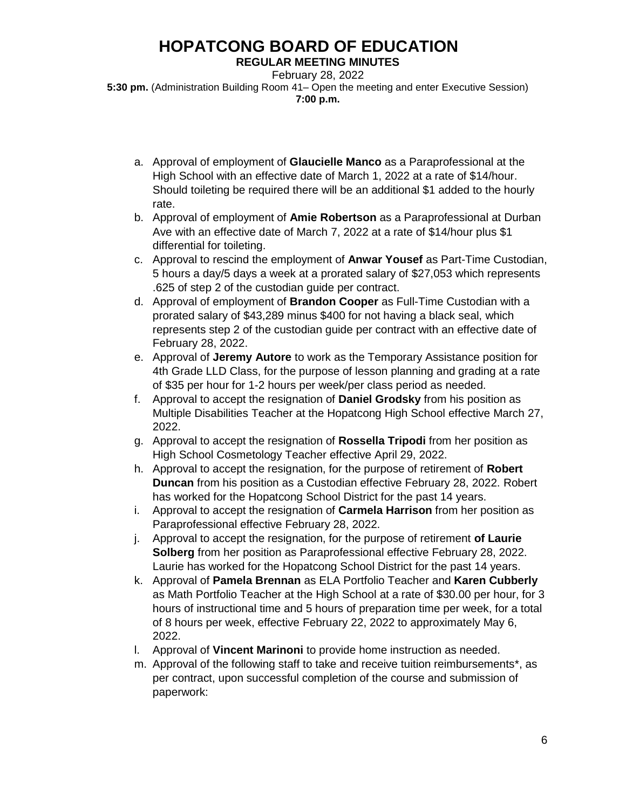**REGULAR MEETING MINUTES**

February 28, 2022 **5:30 pm.** (Administration Building Room 41– Open the meeting and enter Executive Session) **7:00 p.m.**

- a. Approval of employment of **Glaucielle Manco** as a Paraprofessional at the High School with an effective date of March 1, 2022 at a rate of \$14/hour. Should toileting be required there will be an additional \$1 added to the hourly rate.
- b. Approval of employment of **Amie Robertson** as a Paraprofessional at Durban Ave with an effective date of March 7, 2022 at a rate of \$14/hour plus \$1 differential for toileting.
- c. Approval to rescind the employment of **Anwar Yousef** as Part-Time Custodian, 5 hours a day/5 days a week at a prorated salary of \$27,053 which represents .625 of step 2 of the custodian guide per contract.
- d. Approval of employment of **Brandon Cooper** as Full-Time Custodian with a prorated salary of \$43,289 minus \$400 for not having a black seal, which represents step 2 of the custodian guide per contract with an effective date of February 28, 2022.
- e. Approval of **Jeremy Autore** to work as the Temporary Assistance position for 4th Grade LLD Class, for the purpose of lesson planning and grading at a rate of \$35 per hour for 1-2 hours per week/per class period as needed.
- f. Approval to accept the resignation of **Daniel Grodsky** from his position as Multiple Disabilities Teacher at the Hopatcong High School effective March 27, 2022.
- g. Approval to accept the resignation of **Rossella Tripodi** from her position as High School Cosmetology Teacher effective April 29, 2022.
- h. Approval to accept the resignation, for the purpose of retirement of **Robert Duncan** from his position as a Custodian effective February 28, 2022. Robert has worked for the Hopatcong School District for the past 14 years.
- i. Approval to accept the resignation of **Carmela Harrison** from her position as Paraprofessional effective February 28, 2022.
- j. Approval to accept the resignation, for the purpose of retirement **of Laurie Solberg** from her position as Paraprofessional effective February 28, 2022. Laurie has worked for the Hopatcong School District for the past 14 years.
- k. Approval of **Pamela Brennan** as ELA Portfolio Teacher and **Karen Cubberly** as Math Portfolio Teacher at the High School at a rate of \$30.00 per hour, for 3 hours of instructional time and 5 hours of preparation time per week, for a total of 8 hours per week, effective February 22, 2022 to approximately May 6, 2022.
- l. Approval of **Vincent Marinoni** to provide home instruction as needed.
- m. Approval of the following staff to take and receive tuition reimbursements\*, as per contract, upon successful completion of the course and submission of paperwork: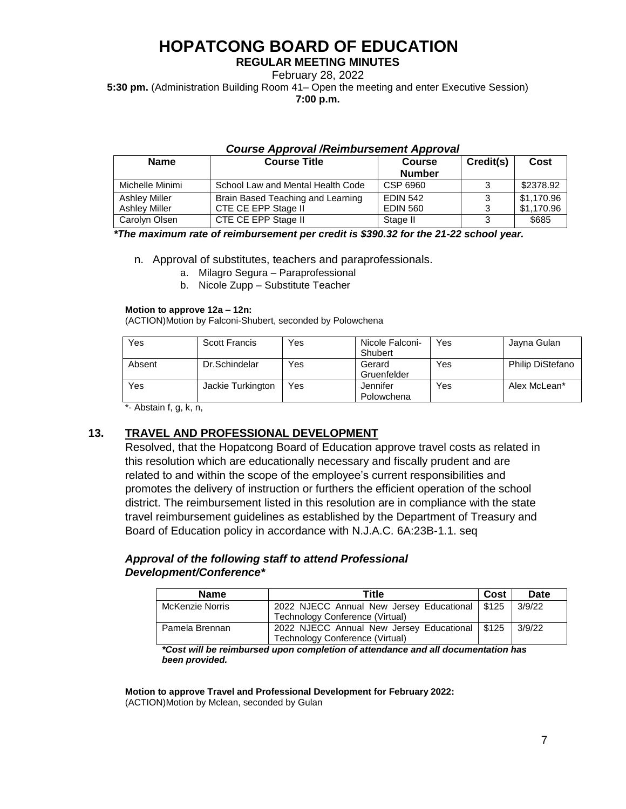### **REGULAR MEETING MINUTES**

February 28, 2022

**5:30 pm.** (Administration Building Room 41– Open the meeting and enter Executive Session) **7:00 p.m.**

### *Course Approval /Reimbursement Approval*

| <b>Name</b>          | <b>Course Title</b>               | <b>Course</b><br><b>Number</b> | Credit(s) | Cost       |
|----------------------|-----------------------------------|--------------------------------|-----------|------------|
| Michelle Minimi      | School Law and Mental Health Code | CSP 6960                       | 3         | \$2378.92  |
| <b>Ashley Miller</b> | Brain Based Teaching and Learning | <b>EDIN 542</b>                |           | \$1.170.96 |
| Ashlev Miller        | CTE CE EPP Stage II               | <b>EDIN 560</b>                | ર         | \$1,170.96 |
| Carolyn Olsen        | CTE CE EPP Stage II               | Stage II                       | 3         | \$685      |

#### *\*The maximum rate of reimbursement per credit is \$390.32 for the 21-22 school year.*

n. Approval of substitutes, teachers and paraprofessionals.

- a. Milagro Segura Paraprofessional
- b. Nicole Zupp Substitute Teacher

#### **Motion to approve 12a – 12n:**

(ACTION)Motion by Falconi-Shubert, seconded by Polowchena

| <b>Yes</b> | Scott Francis     | Yes | Nicole Falconi-<br>Shubert | Yes | Jayna Gulan      |
|------------|-------------------|-----|----------------------------|-----|------------------|
| Absent     | Dr.Schindelar     | Yes | Gerard<br>Gruenfelder      | Yes | Philip DiStefano |
| <b>Yes</b> | Jackie Turkington | Yes | Jennifer<br>Polowchena     | Yes | Alex McLean*     |

\*- Abstain f, g, k, n,

# **13. TRAVEL AND PROFESSIONAL DEVELOPMENT**

Resolved, that the Hopatcong Board of Education approve travel costs as related in this resolution which are educationally necessary and fiscally prudent and are related to and within the scope of the employee's current responsibilities and promotes the delivery of instruction or furthers the efficient operation of the school district. The reimbursement listed in this resolution are in compliance with the state travel reimbursement guidelines as established by the Department of Treasury and Board of Education policy in accordance with N.J.A.C. 6A:23B-1.1. seq

# *Approval of the following staff to attend Professional Development/Conference\**

| <b>Name</b>            | Title                                            | Cost | Date   |
|------------------------|--------------------------------------------------|------|--------|
| <b>McKenzie Norris</b> | 2022 NJECC Annual New Jersey Educational   \$125 |      | 3/9/22 |
|                        | Technology Conference (Virtual)                  |      |        |
| Pamela Brennan         | 2022 NJECC Annual New Jersey Educational   \$125 |      | 3/9/22 |
|                        | Technology Conference (Virtual)                  |      |        |

*\*Cost will be reimbursed upon completion of attendance and all documentation has been provided.* 

**Motion to approve Travel and Professional Development for February 2022:** (ACTION)Motion by Mclean, seconded by Gulan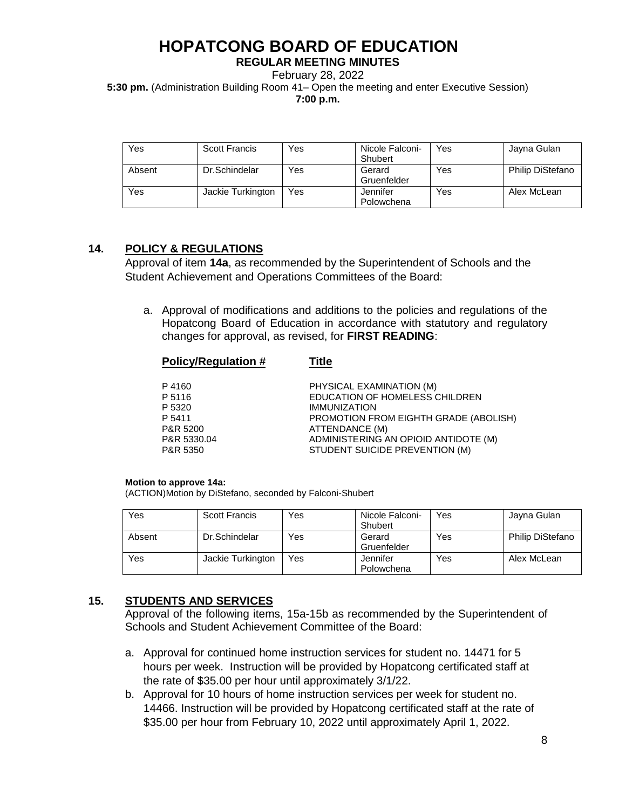**REGULAR MEETING MINUTES**

February 28, 2022

**5:30 pm.** (Administration Building Room 41– Open the meeting and enter Executive Session)

**7:00 p.m.**

| Yes    | Scott Francis     | Yes | Nicole Falconi-<br>Shubert | Yes | Jayna Gulan             |
|--------|-------------------|-----|----------------------------|-----|-------------------------|
| Absent | Dr.Schindelar     | Yes | Gerard<br>Gruenfelder      | Yes | <b>Philip DiStefano</b> |
| Yes    | Jackie Turkington | Yes | Jennifer<br>Polowchena     | Yes | Alex McLean             |

# **14. POLICY & REGULATIONS**

Approval of item **14a**, as recommended by the Superintendent of Schools and the Student Achievement and Operations Committees of the Board:

a. Approval of modifications and additions to the policies and regulations of the Hopatcong Board of Education in accordance with statutory and regulatory changes for approval, as revised, for **FIRST READING**:

| <b>Policy/Regulation #</b> | Title                    |
|----------------------------|--------------------------|
| P 4160                     | PHYSICAL EXAMINATION (M) |

P 5116 EDUCATION OF HOMELESS CHILDREN P 5320 **IMMUNIZATION** P 5411 PROMOTION FROM EIGHTH GRADE (ABOLISH) P&R 5200 ATTENDANCE (M) P&R 5330.04 ADMINISTERING AN OPIOID ANTIDOTE (M) P&R 5350 STUDENT SUICIDE PREVENTION (M)

#### **Motion to approve 14a:**

(ACTION)Motion by DiStefano, seconded by Falconi-Shubert

| Yes    | Scott Francis     | Yes | Nicole Falconi-<br>Shubert | Yes | Jayna Gulan             |
|--------|-------------------|-----|----------------------------|-----|-------------------------|
| Absent | Dr.Schindelar     | Yes | Gerard<br>Gruenfelder      | Yes | <b>Philip DiStefano</b> |
| Yes    | Jackie Turkington | Yes | Jennifer<br>Polowchena     | Yes | Alex McLean             |

# **15. STUDENTS AND SERVICES**

Approval of the following items, 15a-15b as recommended by the Superintendent of Schools and Student Achievement Committee of the Board:

- a. Approval for continued home instruction services for student no. 14471 for 5 hours per week. Instruction will be provided by Hopatcong certificated staff at the rate of \$35.00 per hour until approximately 3/1/22.
- b. Approval for 10 hours of home instruction services per week for student no. 14466. Instruction will be provided by Hopatcong certificated staff at the rate of \$35.00 per hour from February 10, 2022 until approximately April 1, 2022.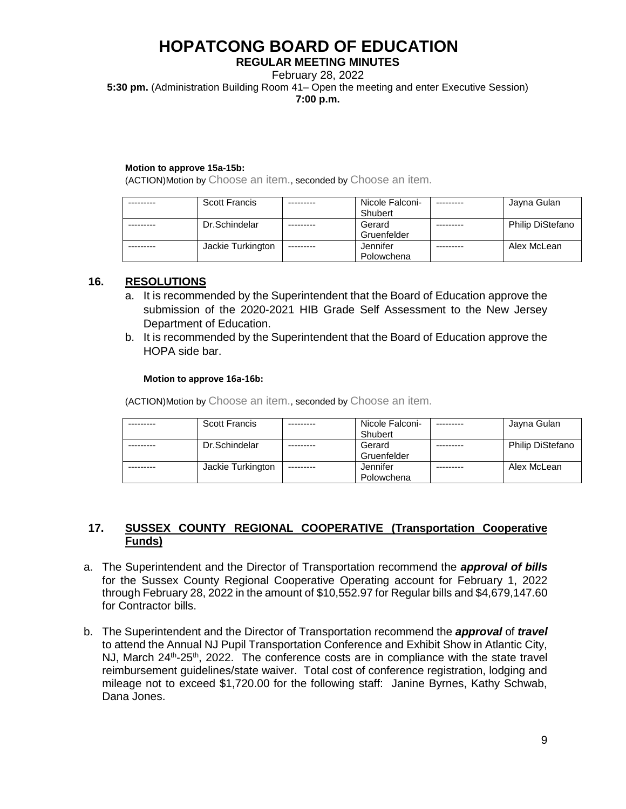### **REGULAR MEETING MINUTES**

February 28, 2022

**5:30 pm.** (Administration Building Room 41– Open the meeting and enter Executive Session)

**7:00 p.m.**

### **Motion to approve 15a-15b:**

(ACTION)Motion by Choose an item., seconded by Choose an item.

| <b>Scott Francis</b> |           | Nicole Falconi-<br>Shubert | Jayna Gulan             |
|----------------------|-----------|----------------------------|-------------------------|
| Dr.Schindelar        |           | Gerard<br>Gruenfelder      | <b>Philip DiStefano</b> |
| Jackie Turkington    | --------- | Jennifer<br>Polowchena     | Alex McLean             |

### **16. RESOLUTIONS**

- a. It is recommended by the Superintendent that the Board of Education approve the submission of the 2020-2021 HIB Grade Self Assessment to the New Jersey Department of Education.
- b. It is recommended by the Superintendent that the Board of Education approve the HOPA side bar.

### **Motion to approve 16a-16b:**

(ACTION)Motion by Choose an item., seconded by Choose an item.

| <b>Scott Francis</b> |           | Nicole Falconi- | Jayna Gulan             |
|----------------------|-----------|-----------------|-------------------------|
|                      |           | Shubert         |                         |
| Dr.Schindelar        |           | Gerard          | <b>Philip DiStefano</b> |
|                      |           | Gruenfelder     |                         |
| Jackie Turkington    | --------- | Jennifer        | Alex McLean             |
|                      |           | Polowchena      |                         |

# **17. SUSSEX COUNTY REGIONAL COOPERATIVE (Transportation Cooperative Funds)**

- a. The Superintendent and the Director of Transportation recommend the *approval of bills* for the Sussex County Regional Cooperative Operating account for February 1, 2022 through February 28, 2022 in the amount of \$10,552.97 for Regular bills and \$4,679,147.60 for Contractor bills.
- b. The Superintendent and the Director of Transportation recommend the *approval* of *travel*  to attend the Annual NJ Pupil Transportation Conference and Exhibit Show in Atlantic City, NJ, March 24<sup>th</sup>-25<sup>th</sup>, 2022. The conference costs are in compliance with the state travel reimbursement guidelines/state waiver. Total cost of conference registration, lodging and mileage not to exceed \$1,720.00 for the following staff: Janine Byrnes, Kathy Schwab, Dana Jones.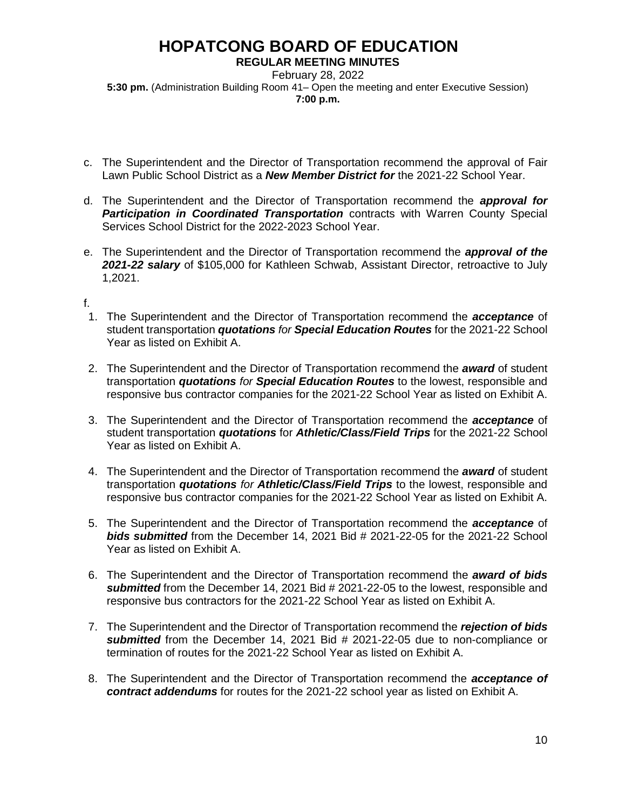**REGULAR MEETING MINUTES**

February 28, 2022 **5:30 pm.** (Administration Building Room 41– Open the meeting and enter Executive Session) **7:00 p.m.**

- c. The Superintendent and the Director of Transportation recommend the approval of Fair Lawn Public School District as a *New Member District for* the 2021-22 School Year.
- d. The Superintendent and the Director of Transportation recommend the *approval for Participation in Coordinated Transportation* contracts with Warren County Special Services School District for the 2022-2023 School Year.
- e. The Superintendent and the Director of Transportation recommend the *approval of the 2021-22 salary* of \$105,000 for Kathleen Schwab, Assistant Director, retroactive to July 1,2021.

# f.

- 1. The Superintendent and the Director of Transportation recommend the *acceptance* of student transportation *quotations for Special Education Routes* for the 2021-22 School Year as listed on Exhibit A.
- 2. The Superintendent and the Director of Transportation recommend the *award* of student transportation *quotations for Special Education Routes* to the lowest, responsible and responsive bus contractor companies for the 2021-22 School Year as listed on Exhibit A.
- 3. The Superintendent and the Director of Transportation recommend the *acceptance* of student transportation *quotations* for *Athletic/Class/Field Trips* for the 2021-22 School Year as listed on Exhibit A.
- 4. The Superintendent and the Director of Transportation recommend the *award* of student transportation *quotations for Athletic/Class/Field Trips* to the lowest, responsible and responsive bus contractor companies for the 2021-22 School Year as listed on Exhibit A.
- 5. The Superintendent and the Director of Transportation recommend the *acceptance* of *bids submitted* from the December 14, 2021 Bid # 2021-22-05 for the 2021-22 School Year as listed on Exhibit A.
- 6. The Superintendent and the Director of Transportation recommend the *award of bids submitted* from the December 14, 2021 Bid # 2021-22-05 to the lowest, responsible and responsive bus contractors for the 2021-22 School Year as listed on Exhibit A.
- 7. The Superintendent and the Director of Transportation recommend the *rejection of bids submitted* from the December 14, 2021 Bid # 2021-22-05 due to non-compliance or termination of routes for the 2021-22 School Year as listed on Exhibit A.
- 8. The Superintendent and the Director of Transportation recommend the *acceptance of contract addendums* for routes for the 2021-22 school year as listed on Exhibit A.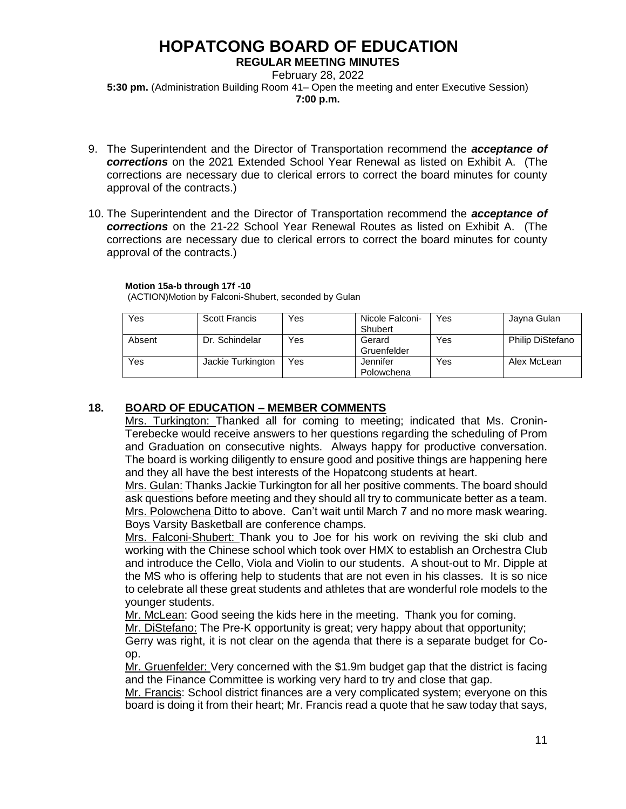### **REGULAR MEETING MINUTES**

February 28, 2022 **5:30 pm.** (Administration Building Room 41– Open the meeting and enter Executive Session) **7:00 p.m.**

- 9. The Superintendent and the Director of Transportation recommend the *acceptance of corrections* on the 2021 Extended School Year Renewal as listed on Exhibit A. (The corrections are necessary due to clerical errors to correct the board minutes for county approval of the contracts.)
- 10. The Superintendent and the Director of Transportation recommend the *acceptance of corrections* on the 21-22 School Year Renewal Routes as listed on Exhibit A. (The corrections are necessary due to clerical errors to correct the board minutes for county approval of the contracts.)

### **Motion 15a-b through 17f -10**

(ACTION)Motion by Falconi-Shubert, seconded by Gulan

| Yes    | <b>Scott Francis</b> | Yes | Nicole Falconi- | Yes | Jayna Gulan             |
|--------|----------------------|-----|-----------------|-----|-------------------------|
|        |                      |     | Shubert         |     |                         |
| Absent | Dr. Schindelar       | Yes | Gerard          | Yes | <b>Philip DiStefano</b> |
|        |                      |     | Gruenfelder     |     |                         |
| Yes    | Jackie Turkington    | Yes | Jennifer        | Yes | Alex McLean             |
|        |                      |     | Polowchena      |     |                         |

# **18. BOARD OF EDUCATION – MEMBER COMMENTS**

Mrs. Turkington: Thanked all for coming to meeting; indicated that Ms. Cronin-Terebecke would receive answers to her questions regarding the scheduling of Prom and Graduation on consecutive nights. Always happy for productive conversation. The board is working diligently to ensure good and positive things are happening here and they all have the best interests of the Hopatcong students at heart.

Mrs. Gulan: Thanks Jackie Turkington for all her positive comments. The board should ask questions before meeting and they should all try to communicate better as a team. Mrs. Polowchena Ditto to above. Can't wait until March 7 and no more mask wearing. Boys Varsity Basketball are conference champs.

Mrs. Falconi-Shubert: Thank you to Joe for his work on reviving the ski club and working with the Chinese school which took over HMX to establish an Orchestra Club and introduce the Cello, Viola and Violin to our students. A shout-out to Mr. Dipple at the MS who is offering help to students that are not even in his classes. It is so nice to celebrate all these great students and athletes that are wonderful role models to the younger students.

Mr. McLean: Good seeing the kids here in the meeting. Thank you for coming.

Mr. DiStefano: The Pre-K opportunity is great; very happy about that opportunity;

Gerry was right, it is not clear on the agenda that there is a separate budget for Coop.

Mr. Gruenfelder: Very concerned with the \$1.9m budget gap that the district is facing and the Finance Committee is working very hard to try and close that gap.

Mr. Francis: School district finances are a very complicated system; everyone on this board is doing it from their heart; Mr. Francis read a quote that he saw today that says,